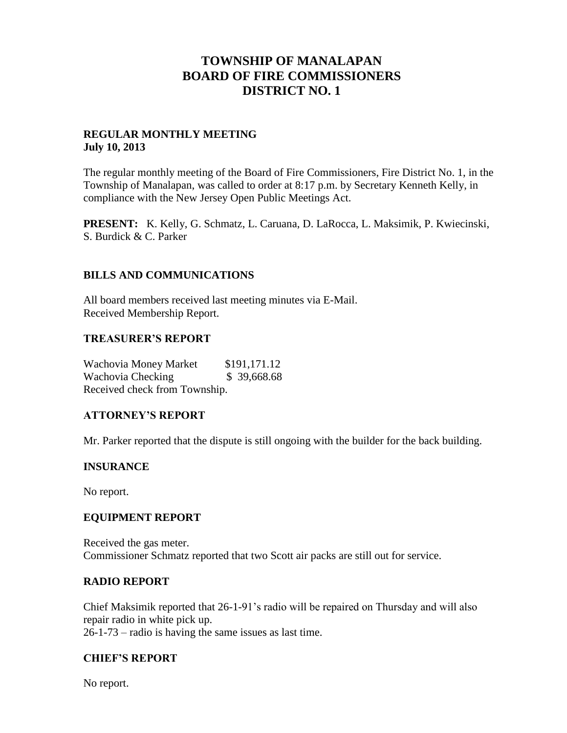# **TOWNSHIP OF MANALAPAN BOARD OF FIRE COMMISSIONERS DISTRICT NO. 1**

### **REGULAR MONTHLY MEETING July 10, 2013**

The regular monthly meeting of the Board of Fire Commissioners, Fire District No. 1, in the Township of Manalapan, was called to order at 8:17 p.m. by Secretary Kenneth Kelly, in compliance with the New Jersey Open Public Meetings Act.

**PRESENT:** K. Kelly, G. Schmatz, L. Caruana, D. LaRocca, L. Maksimik, P. Kwiecinski, S. Burdick & C. Parker

### **BILLS AND COMMUNICATIONS**

All board members received last meeting minutes via E-Mail. Received Membership Report.

### **TREASURER'S REPORT**

Wachovia Money Market \$191,171.12 Wachovia Checking  $$39,668.68$ Received check from Township.

### **ATTORNEY'S REPORT**

Mr. Parker reported that the dispute is still ongoing with the builder for the back building.

### **INSURANCE**

No report.

### **EQUIPMENT REPORT**

Received the gas meter. Commissioner Schmatz reported that two Scott air packs are still out for service.

#### **RADIO REPORT**

Chief Maksimik reported that 26-1-91's radio will be repaired on Thursday and will also repair radio in white pick up. 26-1-73 – radio is having the same issues as last time.

#### **CHIEF'S REPORT**

No report.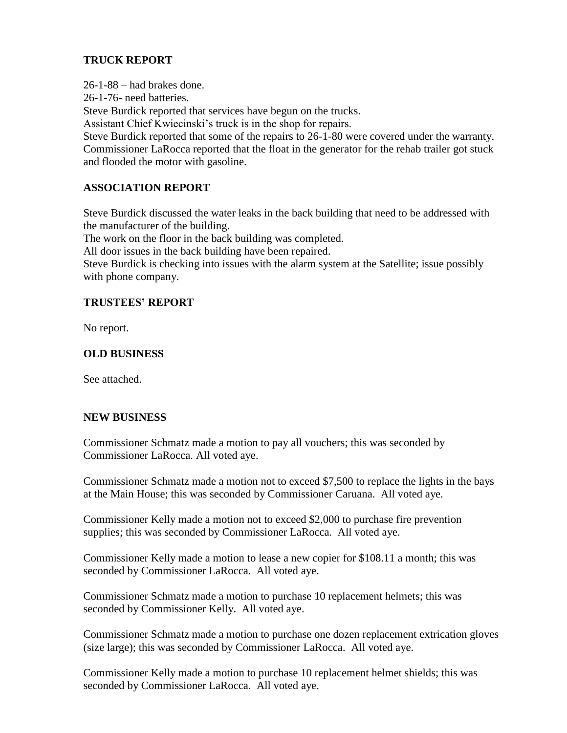# **TRUCK REPORT**

26-1-88 – had brakes done.

26-1-76- need batteries.

Steve Burdick reported that services have begun on the trucks.

Assistant Chief Kwiecinski's truck is in the shop for repairs.

Steve Burdick reported that some of the repairs to 26-1-80 were covered under the warranty. Commissioner LaRocca reported that the float in the generator for the rehab trailer got stuck and flooded the motor with gasoline.

# **ASSOCIATION REPORT**

Steve Burdick discussed the water leaks in the back building that need to be addressed with the manufacturer of the building.

The work on the floor in the back building was completed.

All door issues in the back building have been repaired.

Steve Burdick is checking into issues with the alarm system at the Satellite; issue possibly with phone company.

# **TRUSTEES' REPORT**

No report.

# **OLD BUSINESS**

See attached.

# **NEW BUSINESS**

Commissioner Schmatz made a motion to pay all vouchers; this was seconded by Commissioner LaRocca. All voted aye.

Commissioner Schmatz made a motion not to exceed \$7,500 to replace the lights in the bays at the Main House; this was seconded by Commissioner Caruana. All voted aye.

Commissioner Kelly made a motion not to exceed \$2,000 to purchase fire prevention supplies; this was seconded by Commissioner LaRocca. All voted aye.

Commissioner Kelly made a motion to lease a new copier for \$108.11 a month; this was seconded by Commissioner LaRocca. All voted aye.

Commissioner Schmatz made a motion to purchase 10 replacement helmets; this was seconded by Commissioner Kelly. All voted aye.

Commissioner Schmatz made a motion to purchase one dozen replacement extrication gloves (size large); this was seconded by Commissioner LaRocca. All voted aye.

Commissioner Kelly made a motion to purchase 10 replacement helmet shields; this was seconded by Commissioner LaRocca. All voted aye.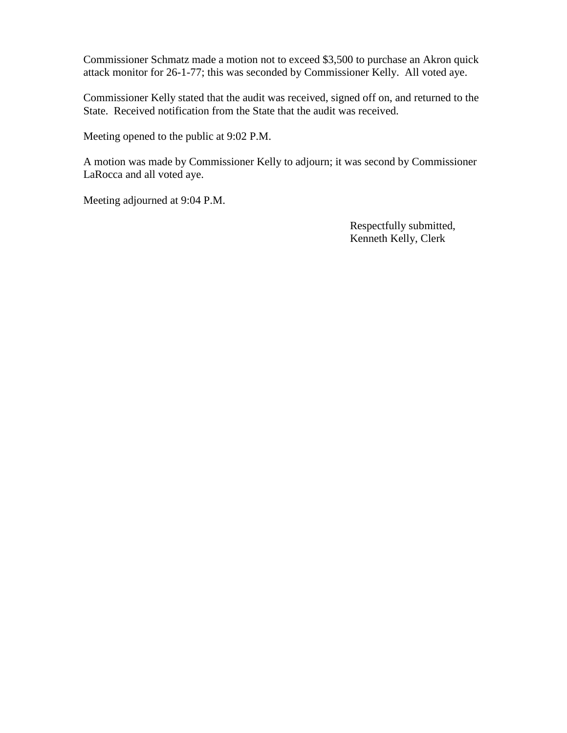Commissioner Schmatz made a motion not to exceed \$3,500 to purchase an Akron quick attack monitor for 26-1-77; this was seconded by Commissioner Kelly. All voted aye.

Commissioner Kelly stated that the audit was received, signed off on, and returned to the State. Received notification from the State that the audit was received.

Meeting opened to the public at 9:02 P.M.

A motion was made by Commissioner Kelly to adjourn; it was second by Commissioner LaRocca and all voted aye.

Meeting adjourned at 9:04 P.M.

 Respectfully submitted, Kenneth Kelly, Clerk